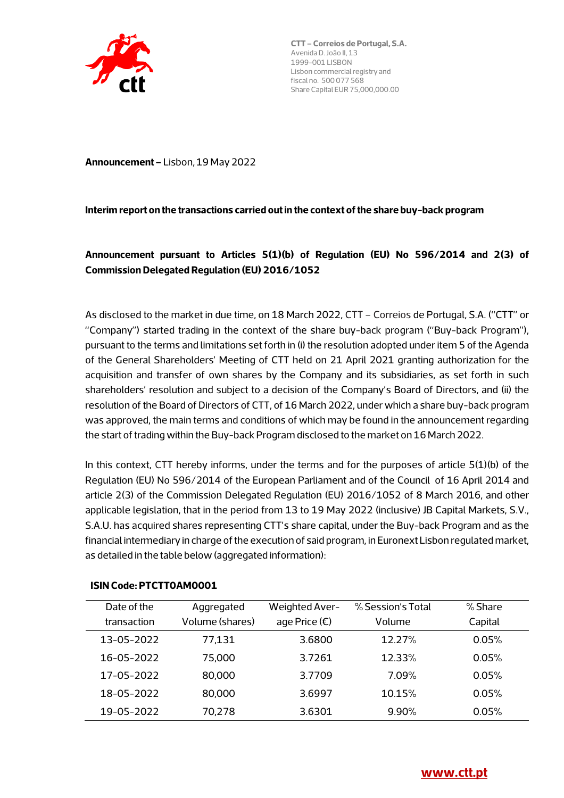

**Announcement –** Lisbon, 19 May 2022

#### **Interim report on the transactions carried out in the context of the share buy-back program**

# **Announcement pursuant to Articles 5(1)(b) of Regulation (EU) No 596/2014 and 2(3) of Commission Delegated Regulation (EU) 2016/1052**

As disclosed to the market in due time, on 18 March 2022, CTT – Correios de Portugal, S.A. ("CTT" or "Company") started trading in the context of the share buy-back program ("Buy-back Program"), pursuant to the terms and limitations set forth in (i) the resolution adopted under item 5 of the Agenda of the General Shareholders' Meeting of CTT held on 21 April 2021 granting authorization for the acquisition and transfer of own shares by the Company and its subsidiaries, as set forth in such shareholders' resolution and subject to a decision of the Company's Board of Directors, and (ii) the resolution of the Board of Directors of CTT, of 16 March 2022, under which a share buy-back program was approved, the main terms and conditions of which may be found in the announcement regarding the start of trading within the Buy-back Program disclosed to the market on 16 March 2022.

In this context, CTT hereby informs, under the terms and for the purposes of article 5(1)(b) of the Regulation (EU) No 596/2014 of the European Parliament and of the Council of 16 April 2014 and article 2(3) of the Commission Delegated Regulation (EU) 2016/1052 of 8 March 2016, and other applicable legislation, that in the period from 13 to 19 May 2022 (inclusive) JB Capital Markets, S.V., S.A.U. has acquired shares representing CTT's share capital, under the Buy-back Program and as the financial intermediary in charge of the execution of said program, in Euronext Lisbon regulated market, as detailed in the table below (aggregated information):

| Date of the<br>transaction | Aggregated<br>Volume (shares) | Weighted Aver-<br>age Price $(\epsilon)$ | % Session's Total<br>Volume | % Share<br>Capital |
|----------------------------|-------------------------------|------------------------------------------|-----------------------------|--------------------|
| 13-05-2022                 | 77,131                        | 3.6800                                   | 12.27%                      | 0.05%              |
| 16-05-2022                 | 75,000                        | 3.7261                                   | 12.33%                      | 0.05%              |
| 17-05-2022                 | 80,000                        | 3.7709                                   | 7.09%                       | 0.05%              |
| 18-05-2022                 | 80,000                        | 3.6997                                   | 10.15%                      | 0.05%              |
| 19-05-2022                 | 70,278                        | 3.6301                                   | $9.90\%$                    | 0.05%              |

#### **ISIN Code: PTCTT0AM0001**

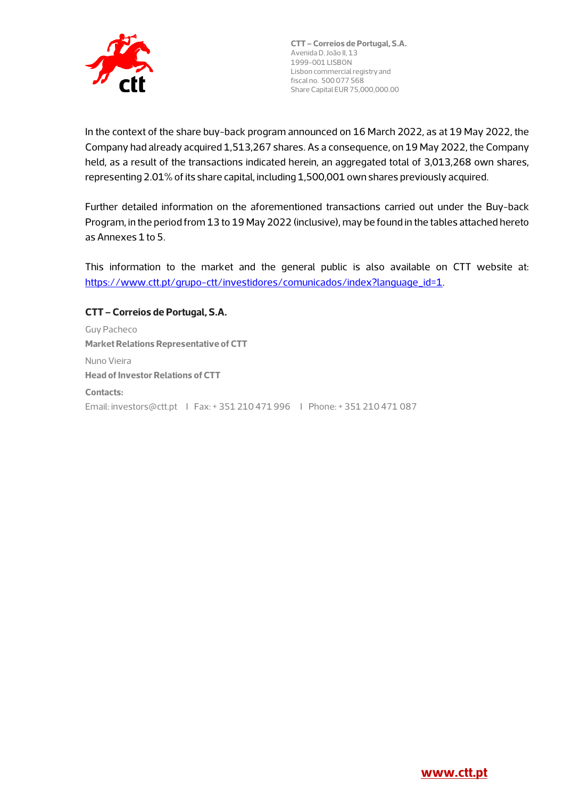

In the context of the share buy-back program announced on 16 March 2022, as at 19 May 2022, the Company had already acquired 1,513,267 shares. As a consequence, on 19 May 2022, the Company held, as a result of the transactions indicated herein, an aggregated total of 3,013,268 own shares, representing 2.01% of its share capital, including 1,500,001 own shares previously acquired.

Further detailed information on the aforementioned transactions carried out under the Buy-back Program, in the period from 13 to 19 May 2022 (inclusive), may be found in the tables attached hereto as Annexes 1 to 5.

This information to the market and the general public is also available on CTT website at: https://www.ctt.pt/grupo-ctt/investidores/comunicados/index?language\_id=1.

#### **CTT – Correios de Portugal, S.A.**

Guy Pacheco **Market Relations Representative of CTT**  Nuno Vieira **Head of Investor Relations of CTT Contacts:**  Email: investors@ctt.pt I Fax: + 351 210 471 996 I Phone: + 351 210 471 087

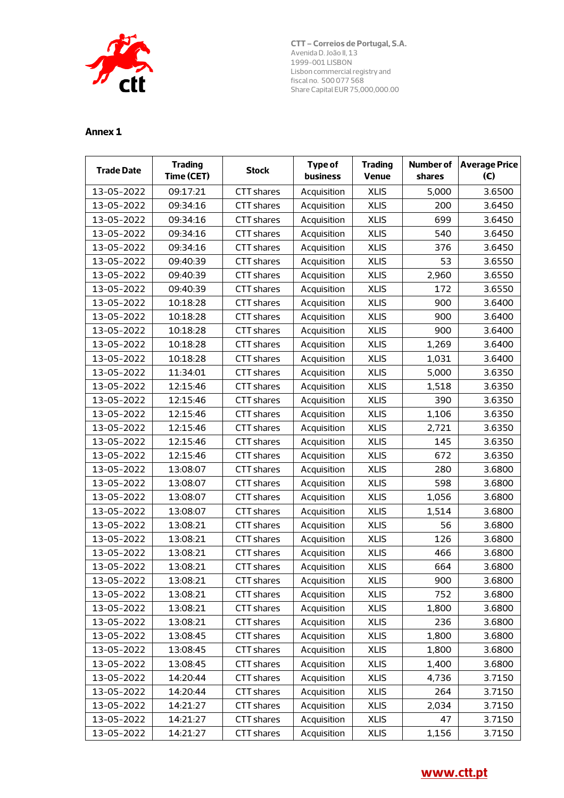

| <b>Trade Date</b> | <b>Trading</b><br>Time (CET) | <b>Stock</b>      | <b>Type of</b><br><b>business</b> | <b>Trading</b><br>Venue | shares | Number of Average Price<br>(E) |
|-------------------|------------------------------|-------------------|-----------------------------------|-------------------------|--------|--------------------------------|
| 13-05-2022        | 09:17:21                     | CTT shares        | Acquisition                       | <b>XLIS</b>             | 5,000  | 3.6500                         |
| 13-05-2022        | 09:34:16                     | CTT shares        | Acquisition                       | <b>XLIS</b>             | 200    | 3.6450                         |
| 13-05-2022        | 09:34:16                     | CTT shares        | Acquisition                       | <b>XLIS</b>             | 699    | 3.6450                         |
| 13-05-2022        | 09:34:16                     | CTT shares        | Acquisition                       | <b>XLIS</b>             | 540    | 3.6450                         |
| 13-05-2022        | 09:34:16                     | CTT shares        | Acquisition                       | <b>XLIS</b>             | 376    | 3.6450                         |
| 13-05-2022        | 09:40:39                     | CTT shares        | Acquisition                       | <b>XLIS</b>             | 53     | 3.6550                         |
| 13-05-2022        | 09:40:39                     | <b>CTT shares</b> | Acquisition                       | <b>XLIS</b>             | 2,960  | 3.6550                         |
| 13-05-2022        | 09:40:39                     | <b>CTT</b> shares | Acquisition                       | <b>XLIS</b>             | 172    | 3.6550                         |
| 13-05-2022        | 10:18:28                     | <b>CTT</b> shares | Acquisition                       | <b>XLIS</b>             | 900    | 3.6400                         |
| 13-05-2022        | 10:18:28                     | <b>CTT</b> shares | Acquisition                       | <b>XLIS</b>             | 900    | 3.6400                         |
| 13-05-2022        | 10:18:28                     | CTT shares        | Acquisition                       | <b>XLIS</b>             | 900    | 3.6400                         |
| 13-05-2022        | 10:18:28                     | <b>CTT</b> shares | Acquisition                       | <b>XLIS</b>             | 1,269  | 3.6400                         |
| 13-05-2022        | 10:18:28                     | CTT shares        | Acquisition                       | <b>XLIS</b>             | 1,031  | 3.6400                         |
| 13-05-2022        | 11:34:01                     | <b>CTT</b> shares | Acquisition                       | <b>XLIS</b>             | 5,000  | 3.6350                         |
| 13-05-2022        | 12:15:46                     | CTT shares        | Acquisition                       | <b>XLIS</b>             | 1,518  | 3.6350                         |
| 13-05-2022        | 12:15:46                     | CTT shares        | Acquisition                       | <b>XLIS</b>             | 390    | 3.6350                         |
| 13-05-2022        | 12:15:46                     | <b>CTT</b> shares | Acquisition                       | <b>XLIS</b>             | 1,106  | 3.6350                         |
| 13-05-2022        | 12:15:46                     | CTT shares        | Acquisition                       | <b>XLIS</b>             | 2,721  | 3.6350                         |
| 13-05-2022        | 12:15:46                     | <b>CTT shares</b> | Acquisition                       | <b>XLIS</b>             | 145    | 3.6350                         |
| 13-05-2022        | 12:15:46                     | CTT shares        | Acquisition                       | <b>XLIS</b>             | 672    | 3.6350                         |
| 13-05-2022        | 13:08:07                     | <b>CTT</b> shares | Acquisition                       | <b>XLIS</b>             | 280    | 3.6800                         |
| 13-05-2022        | 13:08:07                     | CTT shares        | Acquisition                       | <b>XLIS</b>             | 598    | 3.6800                         |
| 13-05-2022        | 13:08:07                     | CTT shares        | Acquisition                       | <b>XLIS</b>             | 1,056  | 3.6800                         |
| 13-05-2022        | 13:08:07                     | CTT shares        | Acquisition                       | <b>XLIS</b>             | 1,514  | 3.6800                         |
| 13-05-2022        | 13:08:21                     | <b>CTT</b> shares | Acquisition                       | <b>XLIS</b>             | 56     | 3.6800                         |
| 13-05-2022        | 13:08:21                     | <b>CTT</b> shares | Acquisition                       | <b>XLIS</b>             | 126    | 3.6800                         |
| 13-05-2022        | 13:08:21                     | <b>CTT</b> shares | Acquisition                       | <b>XLIS</b>             | 466    | 3.6800                         |
| 13-05-2022        | 13:08:21                     | CTT shares        | Acquisition                       | <b>XLIS</b>             | 664    | 3.6800                         |
| 13-05-2022        | 13:08:21                     | CTT shares        | Acquisition                       | <b>XLIS</b>             | 900    | 3.6800                         |
| 13-05-2022        | 13:08:21                     | CTT shares        | Acquisition                       | <b>XLIS</b>             | 752    | 3.6800                         |
| 13-05-2022        | 13:08:21                     | CTT shares        | Acquisition                       | <b>XLIS</b>             | 1,800  | 3.6800                         |
| 13-05-2022        | 13:08:21                     | CTT shares        | Acquisition                       | <b>XLIS</b>             | 236    | 3.6800                         |
| 13-05-2022        | 13:08:45                     | CTT shares        | Acquisition                       | <b>XLIS</b>             | 1,800  | 3.6800                         |
| 13-05-2022        | 13:08:45                     | CTT shares        | Acquisition                       | <b>XLIS</b>             | 1,800  | 3.6800                         |
| 13-05-2022        | 13:08:45                     | <b>CTT</b> shares | Acquisition                       | <b>XLIS</b>             | 1,400  | 3.6800                         |
| 13-05-2022        | 14:20:44                     | CTT shares        | Acquisition                       | <b>XLIS</b>             | 4,736  | 3.7150                         |
| 13-05-2022        | 14:20:44                     | CTT shares        | Acquisition                       | <b>XLIS</b>             | 264    | 3.7150                         |
| 13-05-2022        | 14:21:27                     | CTT shares        | Acquisition                       | <b>XLIS</b>             | 2,034  | 3.7150                         |
| 13-05-2022        | 14:21:27                     | CTT shares        | Acquisition                       | <b>XLIS</b>             | 47     | 3.7150                         |
| 13-05-2022        | 14:21:27                     | CTT shares        | Acquisition                       | <b>XLIS</b>             | 1,156  | 3.7150                         |

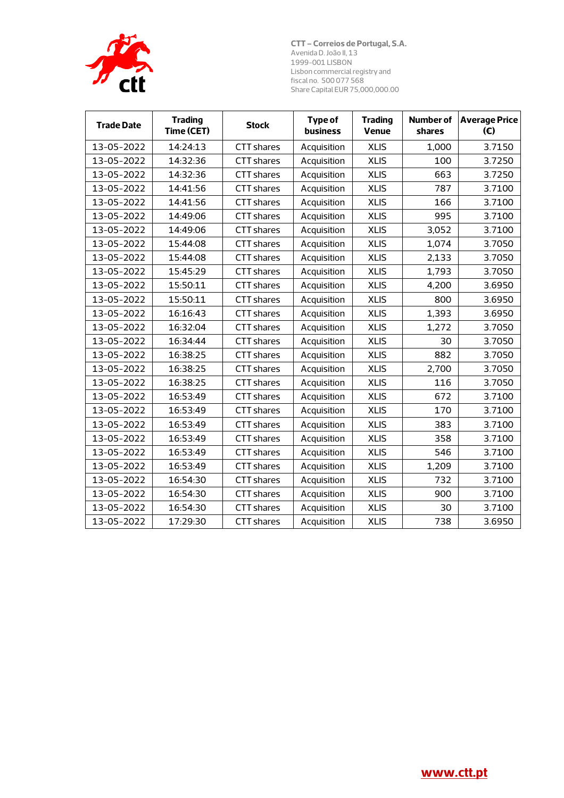

| <b>Trade Date</b> | <b>Trading</b><br>Time (CET) | <b>Stock</b>      | <b>Type of</b><br>business | <b>Trading</b><br><b>Venue</b> | <b>Number of</b><br>shares | <b>Average Price</b><br>(E) |
|-------------------|------------------------------|-------------------|----------------------------|--------------------------------|----------------------------|-----------------------------|
| 13-05-2022        | 14:24:13                     | <b>CTT</b> shares | Acquisition                | <b>XLIS</b>                    | 1.000                      | 3.7150                      |
| 13-05-2022        | 14:32:36                     | CTT shares        | Acquisition                | <b>XLIS</b>                    | 100                        | 3.7250                      |
| 13-05-2022        | 14:32:36                     | <b>CTT</b> shares | Acquisition                | <b>XLIS</b>                    | 663                        | 3.7250                      |
| 13-05-2022        | 14:41:56                     | CTT shares        | Acquisition                | <b>XLIS</b>                    | 787                        | 3.7100                      |
| 13-05-2022        | 14:41:56                     | <b>CTT</b> shares | Acquisition                | <b>XLIS</b>                    | 166                        | 3.7100                      |
| 13-05-2022        | 14:49:06                     | CTT shares        | Acquisition                | <b>XLIS</b>                    | 995                        | 3.7100                      |
| 13-05-2022        | 14:49:06                     | <b>CTT</b> shares | Acquisition                | <b>XLIS</b>                    | 3,052                      | 3.7100                      |
| 13-05-2022        | 15:44:08                     | <b>CTT</b> shares | Acquisition                | <b>XLIS</b>                    | 1,074                      | 3.7050                      |
| 13-05-2022        | 15:44:08                     | <b>CTT</b> shares | Acquisition                | <b>XLIS</b>                    | 2,133                      | 3.7050                      |
| 13-05-2022        | 15:45:29                     | <b>CTT</b> shares | Acquisition                | <b>XLIS</b>                    | 1,793                      | 3.7050                      |
| 13-05-2022        | 15:50:11                     | <b>CTT</b> shares | Acquisition                | <b>XLIS</b>                    | 4,200                      | 3.6950                      |
| 13-05-2022        | 15:50:11                     | <b>CTT</b> shares | Acquisition                | <b>XLIS</b>                    | 800                        | 3.6950                      |
| 13-05-2022        | 16:16:43                     | <b>CTT</b> shares | Acquisition                | <b>XLIS</b>                    | 1,393                      | 3.6950                      |
| 13-05-2022        | 16:32:04                     | <b>CTT</b> shares | Acquisition                | <b>XLIS</b>                    | 1,272                      | 3.7050                      |
| 13-05-2022        | 16:34:44                     | <b>CTT</b> shares | Acquisition                | <b>XLIS</b>                    | 30                         | 3.7050                      |
| 13-05-2022        | 16:38:25                     | <b>CTT</b> shares | Acquisition                | <b>XLIS</b>                    | 882                        | 3.7050                      |
| 13-05-2022        | 16:38:25                     | <b>CTT shares</b> | Acquisition                | <b>XLIS</b>                    | 2,700                      | 3.7050                      |
| 13-05-2022        | 16:38:25                     | <b>CTT</b> shares | Acquisition                | <b>XLIS</b>                    | 116                        | 3.7050                      |
| 13-05-2022        | 16:53:49                     | CTT shares        | Acquisition                | <b>XLIS</b>                    | 672                        | 3.7100                      |
| 13-05-2022        | 16:53:49                     | <b>CTT</b> shares | Acquisition                | <b>XLIS</b>                    | 170                        | 3.7100                      |
| 13-05-2022        | 16:53:49                     | <b>CTT</b> shares | Acquisition                | <b>XLIS</b>                    | 383                        | 3.7100                      |
| 13-05-2022        | 16:53:49                     | <b>CTT</b> shares | Acquisition                | <b>XLIS</b>                    | 358                        | 3.7100                      |
| 13-05-2022        | 16:53:49                     | <b>CTT</b> shares | Acquisition                | <b>XLIS</b>                    | 546                        | 3.7100                      |
| 13-05-2022        | 16:53:49                     | <b>CTT</b> shares | Acquisition                | <b>XLIS</b>                    | 1,209                      | 3.7100                      |
| 13-05-2022        | 16:54:30                     | <b>CTT</b> shares | Acquisition                | <b>XLIS</b>                    | 732                        | 3.7100                      |
| 13-05-2022        | 16:54:30                     | <b>CTT</b> shares | Acquisition                | <b>XLIS</b>                    | 900                        | 3.7100                      |
| 13-05-2022        | 16:54:30                     | <b>CTT</b> shares | Acquisition                | <b>XLIS</b>                    | 30                         | 3.7100                      |
| 13-05-2022        | 17:29:30                     | <b>CTT</b> shares | Acquisition                | <b>XLIS</b>                    | 738                        | 3.6950                      |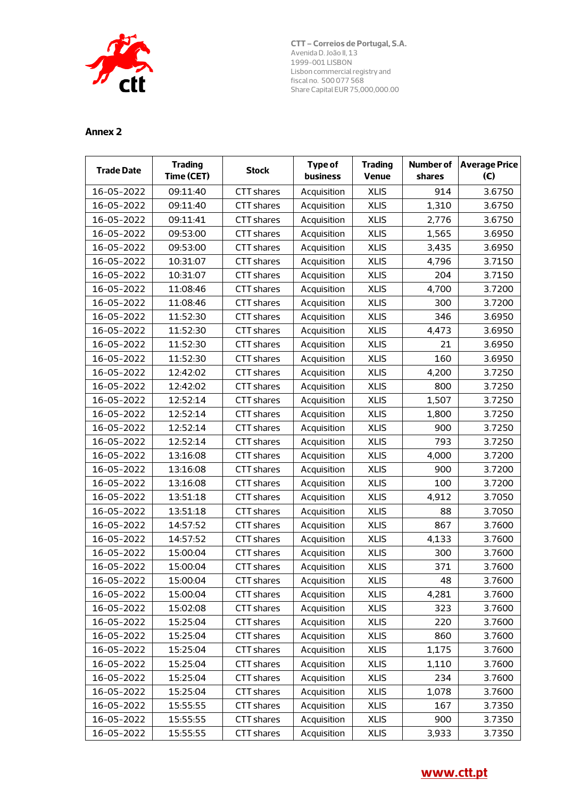

| <b>Trade Date</b> | <b>Trading</b><br>Time (CET) | <b>Stock</b>      | Type of<br>business | <b>Trading</b><br>Venue | shares | Number of Average Price<br>(E) |
|-------------------|------------------------------|-------------------|---------------------|-------------------------|--------|--------------------------------|
| 16-05-2022        | 09:11:40                     | CTT shares        | Acquisition         | <b>XLIS</b>             | 914    | 3.6750                         |
| 16-05-2022        | 09:11:40                     | CTT shares        | Acquisition         | <b>XLIS</b>             | 1,310  | 3.6750                         |
| 16-05-2022        | 09:11:41                     | CTT shares        | Acquisition         | <b>XLIS</b>             | 2,776  | 3.6750                         |
| 16-05-2022        | 09:53:00                     | CTT shares        | Acquisition         | <b>XLIS</b>             | 1,565  | 3.6950                         |
| 16-05-2022        | 09:53:00                     | <b>CTT</b> shares | Acquisition         | <b>XLIS</b>             | 3,435  | 3.6950                         |
| 16-05-2022        | 10:31:07                     | CTT shares        | Acquisition         | <b>XLIS</b>             | 4,796  | 3.7150                         |
| 16-05-2022        | 10:31:07                     | <b>CTT</b> shares | Acquisition         | <b>XLIS</b>             | 204    | 3.7150                         |
| 16-05-2022        | 11:08:46                     | CTT shares        | Acquisition         | <b>XLIS</b>             | 4,700  | 3.7200                         |
| 16-05-2022        | 11:08:46                     | <b>CTT</b> shares | Acquisition         | <b>XLIS</b>             | 300    | 3.7200                         |
| 16-05-2022        | 11:52:30                     | CTT shares        | Acquisition         | <b>XLIS</b>             | 346    | 3.6950                         |
| 16-05-2022        | 11:52:30                     | CTT shares        | Acquisition         | <b>XLIS</b>             | 4,473  | 3.6950                         |
| 16-05-2022        | 11:52:30                     | CTT shares        | Acquisition         | <b>XLIS</b>             | 21     | 3.6950                         |
| 16-05-2022        | 11:52:30                     | CTT shares        | Acquisition         | <b>XLIS</b>             | 160    | 3.6950                         |
| 16-05-2022        | 12:42:02                     | <b>CTT</b> shares | Acquisition         | <b>XLIS</b>             | 4,200  | 3.7250                         |
| 16-05-2022        | 12:42:02                     | CTT shares        | Acquisition         | <b>XLIS</b>             | 800    | 3.7250                         |
| 16-05-2022        | 12:52:14                     | CTT shares        | Acquisition         | <b>XLIS</b>             | 1,507  | 3.7250                         |
| 16-05-2022        | 12:52:14                     | CTT shares        | Acquisition         | <b>XLIS</b>             | 1,800  | 3.7250                         |
| 16-05-2022        | 12:52:14                     | CTT shares        | Acquisition         | <b>XLIS</b>             | 900    | 3.7250                         |
| 16-05-2022        | 12:52:14                     | CTT shares        | Acquisition         | <b>XLIS</b>             | 793    | 3.7250                         |
| 16-05-2022        | 13:16:08                     | CTT shares        | Acquisition         | <b>XLIS</b>             | 4,000  | 3.7200                         |
| 16-05-2022        | 13:16:08                     | CTT shares        | Acquisition         | <b>XLIS</b>             | 900    | 3.7200                         |
| 16-05-2022        | 13:16:08                     | CTT shares        | Acquisition         | <b>XLIS</b>             | 100    | 3.7200                         |
| 16-05-2022        | 13:51:18                     | <b>CTT</b> shares | Acquisition         | <b>XLIS</b>             | 4,912  | 3.7050                         |
| 16-05-2022        | 13:51:18                     | CTT shares        | Acquisition         | <b>XLIS</b>             | 88     | 3.7050                         |
| 16-05-2022        | 14:57:52                     | <b>CTT</b> shares | Acquisition         | <b>XLIS</b>             | 867    | 3.7600                         |
| 16-05-2022        | 14:57:52                     | CTT shares        | Acquisition         | <b>XLIS</b>             | 4,133  | 3.7600                         |
| 16-05-2022        | 15:00:04                     | <b>CTT</b> shares | Acquisition         | <b>XLIS</b>             | 300    | 3.7600                         |
| 16-05-2022        | 15:00:04                     | CTT shares        | Acquisition         | <b>XLIS</b>             | 371    | 3.7600                         |
| 16-05-2022        | 15:00:04                     | CTT shares        | Acquisition         | <b>XLIS</b>             | 48     | 3.7600                         |
| 16-05-2022        | 15:00:04                     | <b>CTT</b> shares | Acquisition         | <b>XLIS</b>             | 4,281  | 3.7600                         |
| 16-05-2022        | 15:02:08                     | CTT shares        | Acquisition         | <b>XLIS</b>             | 323    | 3.7600                         |
| 16-05-2022        | 15:25:04                     | <b>CTT</b> shares | Acquisition         | <b>XLIS</b>             | 220    | 3.7600                         |
| 16-05-2022        | 15:25:04                     | CTT shares        | Acquisition         | <b>XLIS</b>             | 860    | 3.7600                         |
| 16-05-2022        | 15:25:04                     | <b>CTT</b> shares | Acquisition         | <b>XLIS</b>             | 1,175  | 3.7600                         |
| 16-05-2022        | 15:25:04                     | CTT shares        | Acquisition         | <b>XLIS</b>             | 1,110  | 3.7600                         |
| 16-05-2022        | 15:25:04                     | CTT shares        | Acquisition         | <b>XLIS</b>             | 234    | 3.7600                         |
| 16-05-2022        | 15:25:04                     | <b>CTT</b> shares | Acquisition         | <b>XLIS</b>             | 1,078  | 3.7600                         |
| 16-05-2022        | 15:55:55                     | CTT shares        | Acquisition         | <b>XLIS</b>             | 167    | 3.7350                         |
| 16-05-2022        | 15:55:55                     | CTT shares        | Acquisition         | <b>XLIS</b>             | 900    | 3.7350                         |
| 16-05-2022        | 15:55:55                     | CTT shares        | Acquisition         | <b>XLIS</b>             | 3,933  | 3.7350                         |

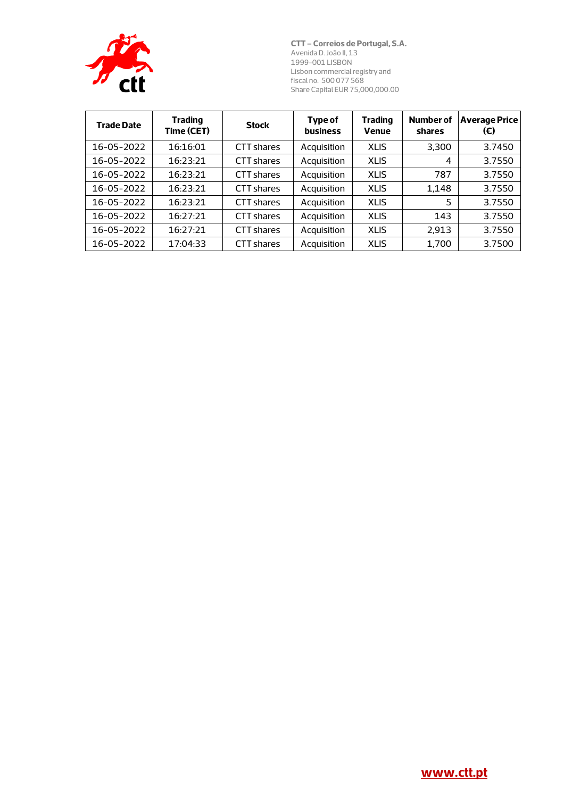

| <b>Trade Date</b> | <b>Trading</b><br>Time (CET) | <b>Stock</b>      | Type of<br><b>business</b> | <b>Trading</b><br><b>Venue</b> | <b>Number of</b><br>shares | <b>Average Price</b><br>(€) |
|-------------------|------------------------------|-------------------|----------------------------|--------------------------------|----------------------------|-----------------------------|
| 16-05-2022        | 16:16:01                     | CTT shares        | Acquisition                | <b>XLIS</b>                    | 3.300                      | 3.7450                      |
| 16-05-2022        | 16:23:21                     | CTT shares        | Acquisition                | <b>XLIS</b>                    | 4                          | 3.7550                      |
| 16-05-2022        | 16:23:21                     | CTT shares        | Acquisition                | <b>XLIS</b>                    | 787                        | 3.7550                      |
| 16-05-2022        | 16:23:21                     | CTT shares        | Acquisition                | <b>XLIS</b>                    | 1.148                      | 3.7550                      |
| 16-05-2022        | 16:23:21                     | CTT shares        | Acquisition                | <b>XLIS</b>                    | 5                          | 3.7550                      |
| 16-05-2022        | 16:27:21                     | CTT shares        | Acquisition                | <b>XLIS</b>                    | 143                        | 3.7550                      |
| 16-05-2022        | 16:27:21                     | CTT shares        | Acquisition                | <b>XLIS</b>                    | 2.913                      | 3.7550                      |
| 16-05-2022        | 17:04:33                     | <b>CTT</b> shares | Acquisition                | <b>XLIS</b>                    | 1,700                      | 3.7500                      |

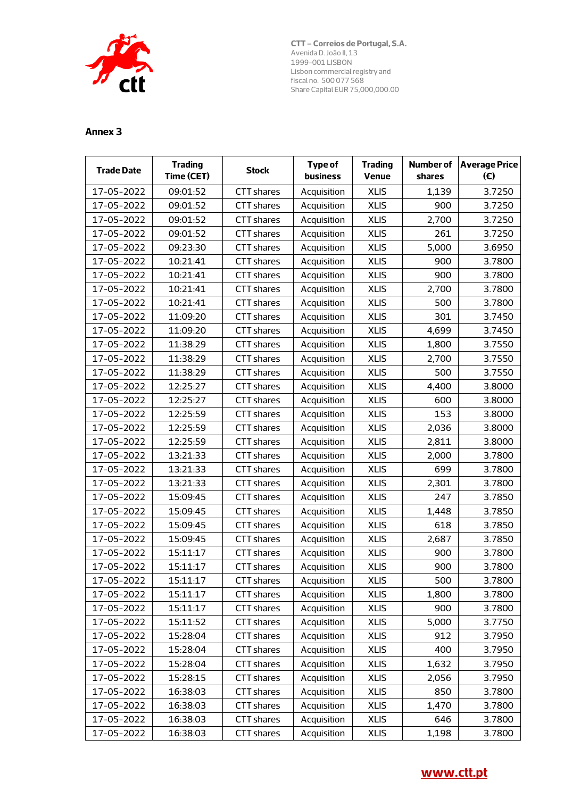

| <b>Trade Date</b> | <b>Trading</b><br>Time (CET) | <b>Stock</b>      | <b>Type of</b><br>business | <b>Trading</b><br>Venue | shares | Number of Average Price<br>(E) |
|-------------------|------------------------------|-------------------|----------------------------|-------------------------|--------|--------------------------------|
| 17-05-2022        | 09:01:52                     | <b>CTT</b> shares | Acquisition                | <b>XLIS</b>             | 1,139  | 3.7250                         |
| 17-05-2022        | 09:01:52                     | CTT shares        | Acquisition                | <b>XLIS</b>             | 900    | 3.7250                         |
| 17-05-2022        | 09:01:52                     | <b>CTT</b> shares | Acquisition                | <b>XLIS</b>             | 2,700  | 3.7250                         |
| 17-05-2022        | 09:01:52                     | CTT shares        | Acquisition                | <b>XLIS</b>             | 261    | 3.7250                         |
| 17-05-2022        | 09:23:30                     | <b>CTT</b> shares | Acquisition                | <b>XLIS</b>             | 5,000  | 3.6950                         |
| 17-05-2022        | 10:21:41                     | CTT shares        | Acquisition                | <b>XLIS</b>             | 900    | 3.7800                         |
| 17-05-2022        | 10:21:41                     | <b>CTT</b> shares | Acquisition                | <b>XLIS</b>             | 900    | 3.7800                         |
| 17-05-2022        | 10:21:41                     | <b>CTT</b> shares | Acquisition                | <b>XLIS</b>             | 2,700  | 3.7800                         |
| 17-05-2022        | 10:21:41                     | <b>CTT</b> shares | Acquisition                | <b>XLIS</b>             | 500    | 3.7800                         |
| 17-05-2022        | 11:09:20                     | CTT shares        | Acquisition                | <b>XLIS</b>             | 301    | 3.7450                         |
| 17-05-2022        | 11:09:20                     | CTT shares        | Acquisition                | <b>XLIS</b>             | 4,699  | 3.7450                         |
| 17-05-2022        | 11:38:29                     | CTT shares        | Acquisition                | <b>XLIS</b>             | 1,800  | 3.7550                         |
| 17-05-2022        | 11:38:29                     | CTT shares        | Acquisition                | <b>XLIS</b>             | 2,700  | 3.7550                         |
| 17-05-2022        | 11:38:29                     | <b>CTT</b> shares | Acquisition                | <b>XLIS</b>             | 500    | 3.7550                         |
| 17-05-2022        | 12:25:27                     | CTT shares        | Acquisition                | <b>XLIS</b>             | 4,400  | 3.8000                         |
| 17-05-2022        | 12:25:27                     | <b>CTT</b> shares | Acquisition                | <b>XLIS</b>             | 600    | 3.8000                         |
| 17-05-2022        | 12:25:59                     | CTT shares        | Acquisition                | <b>XLIS</b>             | 153    | 3.8000                         |
| 17-05-2022        | 12:25:59                     | CTT shares        | Acquisition                | <b>XLIS</b>             | 2,036  | 3.8000                         |
| 17-05-2022        | 12:25:59                     | CTT shares        | Acquisition                | <b>XLIS</b>             | 2,811  | 3.8000                         |
| 17-05-2022        | 13:21:33                     | CTT shares        | Acquisition                | <b>XLIS</b>             | 2,000  | 3.7800                         |
| 17-05-2022        | 13:21:33                     | <b>CTT</b> shares | Acquisition                | <b>XLIS</b>             | 699    | 3.7800                         |
| 17-05-2022        | 13:21:33                     | CTT shares        | Acquisition                | <b>XLIS</b>             | 2,301  | 3.7800                         |
| 17-05-2022        | 15:09:45                     | CTT shares        | Acquisition                | <b>XLIS</b>             | 247    | 3.7850                         |
| 17-05-2022        | 15:09:45                     | CTT shares        | Acquisition                | <b>XLIS</b>             | 1,448  | 3.7850                         |
| 17-05-2022        | 15:09:45                     | CTT shares        | Acquisition                | <b>XLIS</b>             | 618    | 3.7850                         |
| 17-05-2022        | 15:09:45                     | <b>CTT</b> shares | Acquisition                | <b>XLIS</b>             | 2,687  | 3.7850                         |
| 17-05-2022        | 15:11:17                     | <b>CTT</b> shares | Acquisition                | <b>XLIS</b>             | 900    | 3.7800                         |
| 17-05-2022        | 15:11:17                     | CTT shares        | Acquisition                | <b>XLIS</b>             | 900    | 3.7800                         |
| 17-05-2022        | 15:11:17                     | CTT shares        | Acquisition                | <b>XLIS</b>             | 500    | 3.7800                         |
| 17-05-2022        | 15:11:17                     | <b>CTT</b> shares | Acquisition                | <b>XLIS</b>             | 1,800  | 3.7800                         |
| 17-05-2022        | 15:11:17                     | <b>CTT</b> shares | Acquisition                | <b>XLIS</b>             | 900    | 3.7800                         |
| 17-05-2022        | 15:11:52                     | CTT shares        | Acquisition                | <b>XLIS</b>             | 5,000  | 3.7750                         |
| 17-05-2022        | 15:28:04                     | CTT shares        | Acquisition                | <b>XLIS</b>             | 912    | 3.7950                         |
| 17-05-2022        | 15:28:04                     | <b>CTT</b> shares | Acquisition                | <b>XLIS</b>             | 400    | 3.7950                         |
| 17-05-2022        | 15:28:04                     | <b>CTT</b> shares | Acquisition                | <b>XLIS</b>             | 1,632  | 3.7950                         |
| 17-05-2022        | 15:28:15                     | <b>CTT</b> shares | Acquisition                | <b>XLIS</b>             | 2,056  | 3.7950                         |
| 17-05-2022        | 16:38:03                     | <b>CTT</b> shares | Acquisition                | <b>XLIS</b>             | 850    | 3.7800                         |
| 17-05-2022        | 16:38:03                     | CTT shares        | Acquisition                | <b>XLIS</b>             | 1,470  | 3.7800                         |
| 17-05-2022        | 16:38:03                     | CTT shares        | Acquisition                | <b>XLIS</b>             | 646    | 3.7800                         |
| 17-05-2022        | 16:38:03                     | CTT shares        | Acquisition                | <b>XLIS</b>             | 1,198  | 3.7800                         |

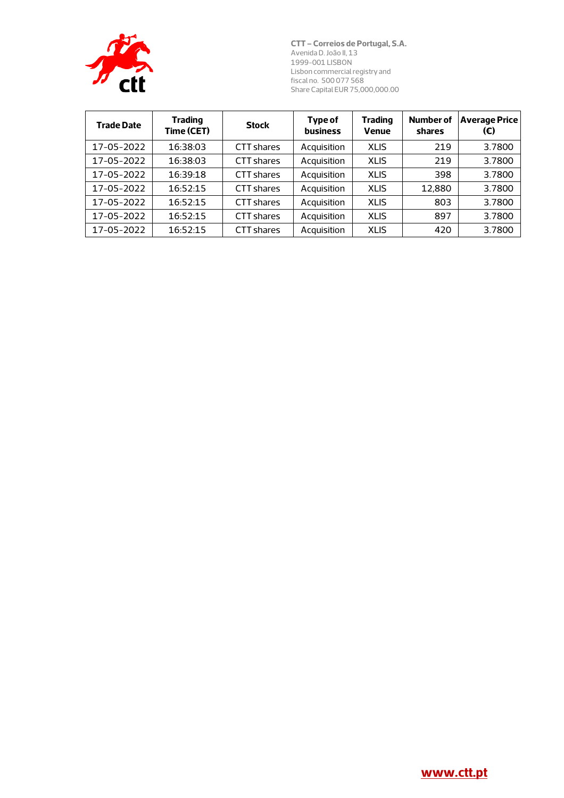

| <b>Trade Date</b> | <b>Trading</b><br>Time (CET) | <b>Stock</b> | Type of<br><b>business</b> | <b>Trading</b><br>Venue | <b>Number of</b><br>shares | <b>Average Price</b><br>(€) |
|-------------------|------------------------------|--------------|----------------------------|-------------------------|----------------------------|-----------------------------|
| 17-05-2022        | 16:38:03                     | CTT shares   | Acquisition                | <b>XLIS</b>             | 219                        | 3.7800                      |
| 17-05-2022        | 16:38:03                     | CTT shares   | Acquisition                | <b>XLIS</b>             | 219                        | 3.7800                      |
| 17-05-2022        | 16:39:18                     | CTT shares   | Acquisition                | <b>XLIS</b>             | 398                        | 3.7800                      |
| 17-05-2022        | 16:52:15                     | CTT shares   | Acquisition                | <b>XLIS</b>             | 12.880                     | 3.7800                      |
| 17-05-2022        | 16:52:15                     | CTT shares   | Acquisition                | <b>XLIS</b>             | 803                        | 3.7800                      |
| 17-05-2022        | 16:52:15                     | CTT shares   | Acquisition                | <b>XLIS</b>             | 897                        | 3.7800                      |
| 17-05-2022        | 16:52:15                     | CTT shares   | Acquisition                | <b>XLIS</b>             | 420                        | 3.7800                      |

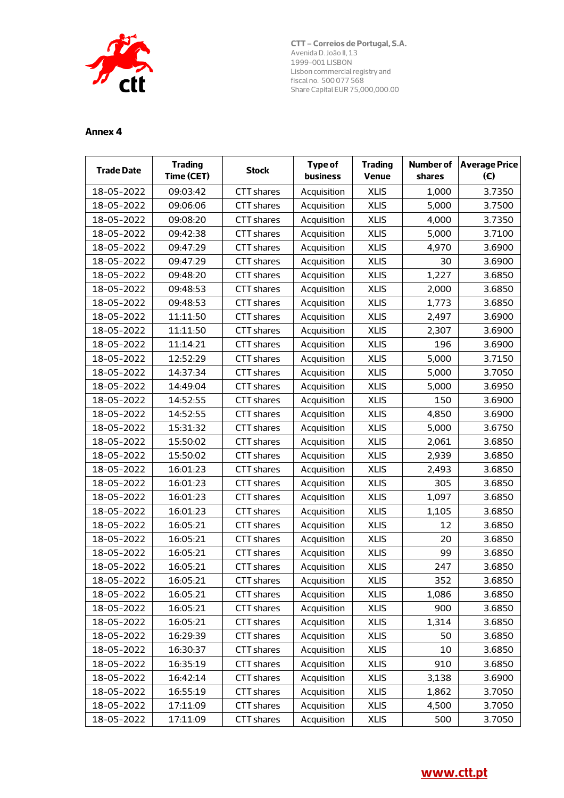

| <b>Trade Date</b> | <b>Trading</b><br>Time (CET) | <b>Stock</b>      | <b>Type of</b><br>business | <b>Trading</b><br>Venue | <b>Number of</b><br>shares | <b>Average Price</b><br>(E) |
|-------------------|------------------------------|-------------------|----------------------------|-------------------------|----------------------------|-----------------------------|
| 18-05-2022        | 09:03:42                     | CTT shares        | Acquisition                | <b>XLIS</b>             | 1,000                      | 3.7350                      |
| 18-05-2022        | 09:06:06                     | <b>CTT</b> shares | Acquisition                | <b>XLIS</b>             | 5,000                      | 3.7500                      |
| 18-05-2022        | 09:08:20                     | CTT shares        | Acquisition                | <b>XLIS</b>             | 4,000                      | 3.7350                      |
| 18-05-2022        | 09:42:38                     | CTT shares        | Acquisition                | <b>XLIS</b>             | 5,000                      | 3.7100                      |
| 18-05-2022        | 09:47:29                     | CTT shares        | Acquisition                | <b>XLIS</b>             | 4,970                      | 3.6900                      |
| 18-05-2022        | 09:47:29                     | <b>CTT</b> shares | Acquisition                | <b>XLIS</b>             | 30                         | 3.6900                      |
| 18-05-2022        | 09:48:20                     | <b>CTT</b> shares | Acquisition                | <b>XLIS</b>             | 1,227                      | 3.6850                      |
| 18-05-2022        | 09:48:53                     | CTT shares        | Acquisition                | <b>XLIS</b>             | 2,000                      | 3.6850                      |
| 18-05-2022        | 09:48:53                     | CTT shares        | Acquisition                | <b>XLIS</b>             | 1,773                      | 3.6850                      |
| 18-05-2022        | 11:11:50                     | CTT shares        | Acquisition                | <b>XLIS</b>             | 2,497                      | 3.6900                      |
| 18-05-2022        | 11:11:50                     | CTT shares        | Acquisition                | <b>XLIS</b>             | 2,307                      | 3.6900                      |
| 18-05-2022        | 11:14:21                     | CTT shares        | Acquisition                | <b>XLIS</b>             | 196                        | 3.6900                      |
| 18-05-2022        | 12:52:29                     | CTT shares        | Acquisition                | <b>XLIS</b>             | 5,000                      | 3.7150                      |
| 18-05-2022        | 14:37:34                     | <b>CTT</b> shares | Acquisition                | <b>XLIS</b>             | 5,000                      | 3.7050                      |
| 18-05-2022        | 14:49:04                     | CTT shares        | Acquisition                | <b>XLIS</b>             | 5,000                      | 3.6950                      |
| 18-05-2022        | 14:52:55                     | CTT shares        | Acquisition                | <b>XLIS</b>             | 150                        | 3.6900                      |
| 18-05-2022        | 14:52:55                     | CTT shares        | Acquisition                | <b>XLIS</b>             | 4,850                      | 3.6900                      |
| 18-05-2022        | 15:31:32                     | CTT shares        | Acquisition                | <b>XLIS</b>             | 5,000                      | 3.6750                      |
| 18-05-2022        | 15:50:02                     | <b>CTT</b> shares | Acquisition                | <b>XLIS</b>             | 2,061                      | 3.6850                      |
| 18-05-2022        | 15:50:02                     | CTT shares        | Acquisition                | <b>XLIS</b>             | 2,939                      | 3.6850                      |
| 18-05-2022        | 16:01:23                     | CTT shares        | Acquisition                | <b>XLIS</b>             | 2,493                      | 3.6850                      |
| 18-05-2022        | 16:01:23                     | CTT shares        | Acquisition                | <b>XLIS</b>             | 305                        | 3.6850                      |
| 18-05-2022        | 16:01:23                     | CTT shares        | Acquisition                | <b>XLIS</b>             | 1,097                      | 3.6850                      |
| 18-05-2022        | 16:01:23                     | CTT shares        | Acquisition                | <b>XLIS</b>             | 1,105                      | 3.6850                      |
| 18-05-2022        | 16:05:21                     | CTT shares        | Acquisition                | <b>XLIS</b>             | 12                         | 3.6850                      |
| 18-05-2022        | 16:05:21                     | CTT shares        | Acquisition                | <b>XLIS</b>             | 20                         | 3.6850                      |
| 18-05-2022        | 16:05:21                     | CTT shares        | Acquisition                | <b>XLIS</b>             | 99                         | 3.6850                      |
| 18-05-2022        | 16:05:21                     | CTT shares        | Acquisition                | <b>XLIS</b>             | 247                        | 3.6850                      |
| 18-05-2022        | 16:05:21                     | CTT shares        | Acquisition                | <b>XLIS</b>             | 352                        | 3.6850                      |
| 18-05-2022        | 16:05:21                     | CTT shares        | Acquisition                | <b>XLIS</b>             | 1,086                      | 3.6850                      |
| 18-05-2022        | 16:05:21                     | CTT shares        | Acquisition                | <b>XLIS</b>             | 900                        | 3.6850                      |
| 18-05-2022        | 16:05:21                     | CTT shares        | Acquisition                | <b>XLIS</b>             | 1,314                      | 3.6850                      |
| 18-05-2022        | 16:29:39                     | CTT shares        | Acquisition                | <b>XLIS</b>             | 50                         | 3.6850                      |
| 18-05-2022        | 16:30:37                     | CTT shares        | Acquisition                | <b>XLIS</b>             | 10                         | 3.6850                      |
| 18-05-2022        | 16:35:19                     | CTT shares        | Acquisition                | <b>XLIS</b>             | 910                        | 3.6850                      |
| 18-05-2022        | 16:42:14                     | CTT shares        | Acquisition                | <b>XLIS</b>             | 3,138                      | 3.6900                      |
| 18-05-2022        | 16:55:19                     | CTT shares        | Acquisition                | <b>XLIS</b>             | 1,862                      | 3.7050                      |
| 18-05-2022        | 17:11:09                     | <b>CTT</b> shares | Acquisition                | <b>XLIS</b>             | 4,500                      | 3.7050                      |
| 18-05-2022        | 17:11:09                     | CTT shares        | Acquisition                | <b>XLIS</b>             | 500                        | 3.7050                      |